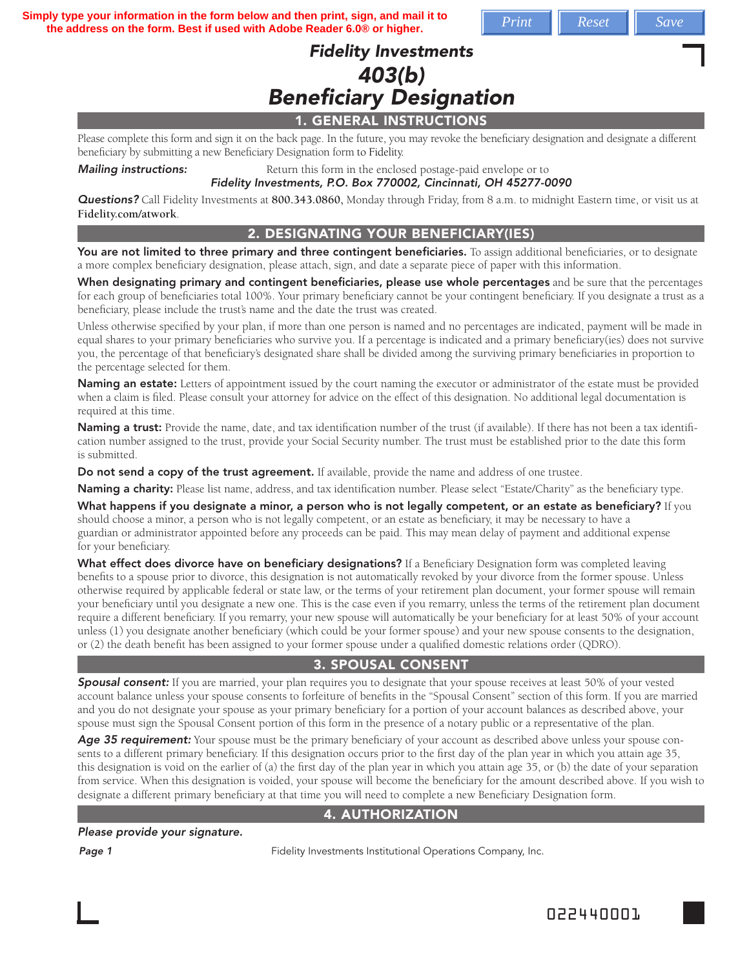**Simply type your information in the form below and then print, sign, and mail it to the address on the form. Best if used with Adobe Reader 6.0® or higher.**  $\blacksquare$  *Print*  $\blacksquare$  *Reset*  $\blacksquare$  *Save* 

# Fidelity Investments 403(b) **Beneficiary Designation**

### 1. GENERAL INSTRUCTIONS

Please complete this form and sign it on the back page. In the future, you may revoke the beneficiary designation and designate a different beneficiary by submitting a new Beneficiary Designation form to Fidelity.

#### **Mailing instructions:** Return this form in the enclosed postage-paid envelope or to Fidelity Investments, P.O. Box 770002, Cincinnati, OH 45277-0090

Questions? Call Fidelity Investments at **800.343.0860,** Monday through Friday, from 8 a.m. to midnight Eastern time, or visit us at **Fidelity.com/atwork**.

#### 2. DESIGNATING YOUR BENEFICIARY(IES)

You are not limited to three primary and three contingent beneficiaries. To assign additional beneficiaries, or to designate a more complex beneficiary designation, please attach, sign, and date a separate piece of paper with this information.

When designating primary and contingent beneficiaries, please use whole percentages and be sure that the percentages for each group of beneficiaries total 100%. Your primary beneficiary cannot be your contingent beneficiary. If you designate a trust as a beneficiary, please include the trust's name and the date the trust was created.

Unless otherwise specified by your plan, if more than one person is named and no percentages are indicated, payment will be made in equal shares to your primary beneficiaries who survive you. If a percentage is indicated and a primary beneficiary(ies) does not survive you, the percentage of that beneficiary's designated share shall be divided among the surviving primary beneficiaries in proportion to the percentage selected for them.

Naming an estate: Letters of appointment issued by the court naming the executor or administrator of the estate must be provided when a claim is filed. Please consult your attorney for advice on the effect of this designation. No additional legal documentation is required at this time.

Naming a trust: Provide the name, date, and tax identification number of the trust (if available). If there has not been a tax identification number assigned to the trust, provide your Social Security number. The trust must be established prior to the date this form is submitted.

Do not send a copy of the trust agreement. If available, provide the name and address of one trustee.

Naming a charity: Please list name, address, and tax identification number. Please select "Estate/Charity" as the beneficiary type.

What happens if you designate a minor, a person who is not legally competent, or an estate as beneficiary? If you should choose a minor, a person who is not legally competent, or an estate as beneficiary, it may be necessary to have a guardian or administrator appointed before any proceeds can be paid. This may mean delay of payment and additional expense for your beneficiary.

What effect does divorce have on beneficiary designations? If a Beneficiary Designation form was completed leaving benefits to a spouse prior to divorce, this designation is not automatically revoked by your divorce from the former spouse. Unless otherwise required by applicable federal or state law, or the terms of your retirement plan document, your former spouse will remain your beneficiary until you designate a new one. This is the case even if you remarry, unless the terms of the retirement plan document require a different beneficiary. If you remarry, your new spouse will automatically be your beneficiary for at least 50% of your account unless (1) you designate another beneficiary (which could be your former spouse) and your new spouse consents to the designation, or (2) the death benefit has been assigned to your former spouse under a qualified domestic relations order (QDRO).

## 3. SPOUSAL CONSENT

**Spousal consent:** If you are married, your plan requires you to designate that your spouse receives at least 50% of your vested account balance unless your spouse consents to forfeiture of benefits in the "Spousal Consent" section of this form. If you are married and you do not designate your spouse as your primary beneficiary for a portion of your account balances as described above, your spouse must sign the Spousal Consent portion of this form in the presence of a notary public or a representative of the plan.

Age 35 requirement: Your spouse must be the primary beneficiary of your account as described above unless your spouse consents to a different primary beneficiary. If this designation occurs prior to the first day of the plan year in which you attain age 35, this designation is void on the earlier of (a) the first day of the plan year in which you attain age  $35$ , or (b) the date of your separation from service. When this designation is voided, your spouse will become the beneficiary for the amount described above. If you wish to designate a different primary beneficiary at that time you will need to complete a new Beneficiary Designation form.

### 4. AUTHORIZATION

Please provide your signature.

**Page 1** Fidelity Investments Institutional Operations Company, Inc.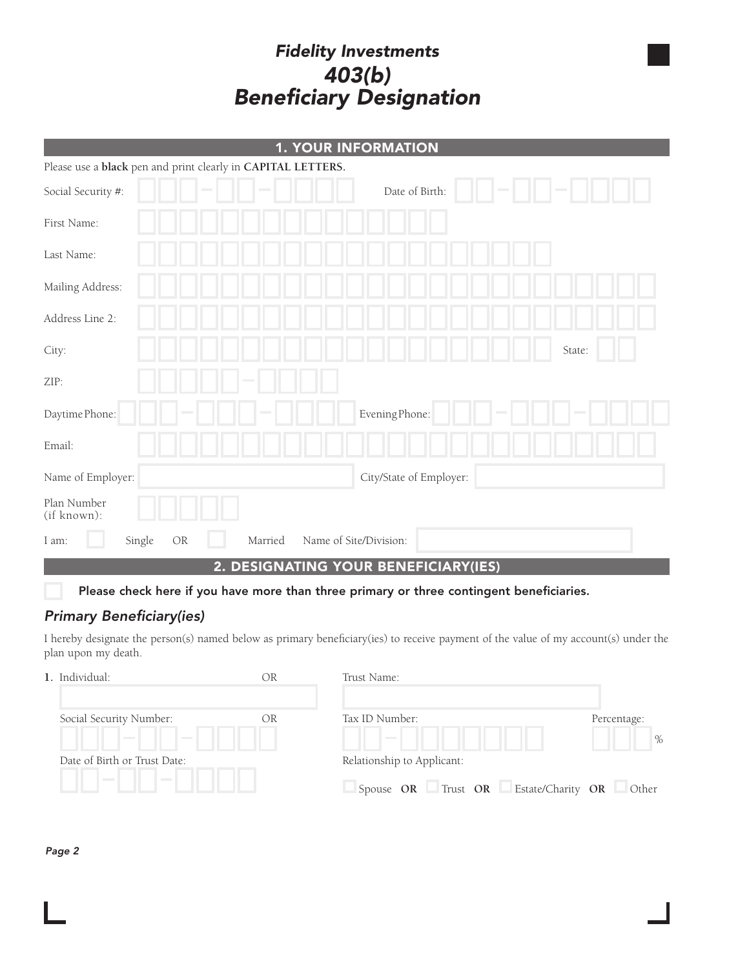# Fidelity Investments 403(b) **Beneficiary Designation**

| <b>1. YOUR INFORMATION</b>                                   |                         |  |  |
|--------------------------------------------------------------|-------------------------|--|--|
| Please use a black pen and print clearly in CAPITAL LETTERS. |                         |  |  |
| Social Security #:                                           | Date of Birth:          |  |  |
| First Name:                                                  |                         |  |  |
| Last Name:                                                   |                         |  |  |
| Mailing Address:                                             |                         |  |  |
| Address Line 2:                                              |                         |  |  |
| City:                                                        | State:                  |  |  |
| ZIP:                                                         |                         |  |  |
| Daytime Phone:                                               | Evening Phone:          |  |  |
| Email:                                                       |                         |  |  |
| Name of Employer:                                            | City/State of Employer: |  |  |
| Plan Number<br>(if known):                                   |                         |  |  |
| Single<br>OR<br>Married<br>I am:                             | Name of Site/Division:  |  |  |

2. DESIGNATING YOUR BENEFICIARY(IES)

Please check here if you have more than three primary or three contingent beneficiaries.

# **Primary Beneficiary(ies)**

I hereby designate the person(s) named below as primary beneficiary(ies) to receive payment of the value of my account(s) under the plan upon my death.

|  | 1. Individual:                                                | ЭR | Trust Name:                                |                     |
|--|---------------------------------------------------------------|----|--------------------------------------------|---------------------|
|  | Social Security Number:<br><b>Contract</b><br><b>Contract</b> | OR | Tax ID Number:<br><b>Contract Contract</b> | Percentage:<br>$\%$ |
|  | Date of Birth or Trust Date:                                  |    | Relationship to Applicant:                 |                     |
|  | <b>Contract Contract</b><br><b>Contract</b>                   |    | Spouse OR Trust OR Estate/Charity OR Other |                     |

Page 2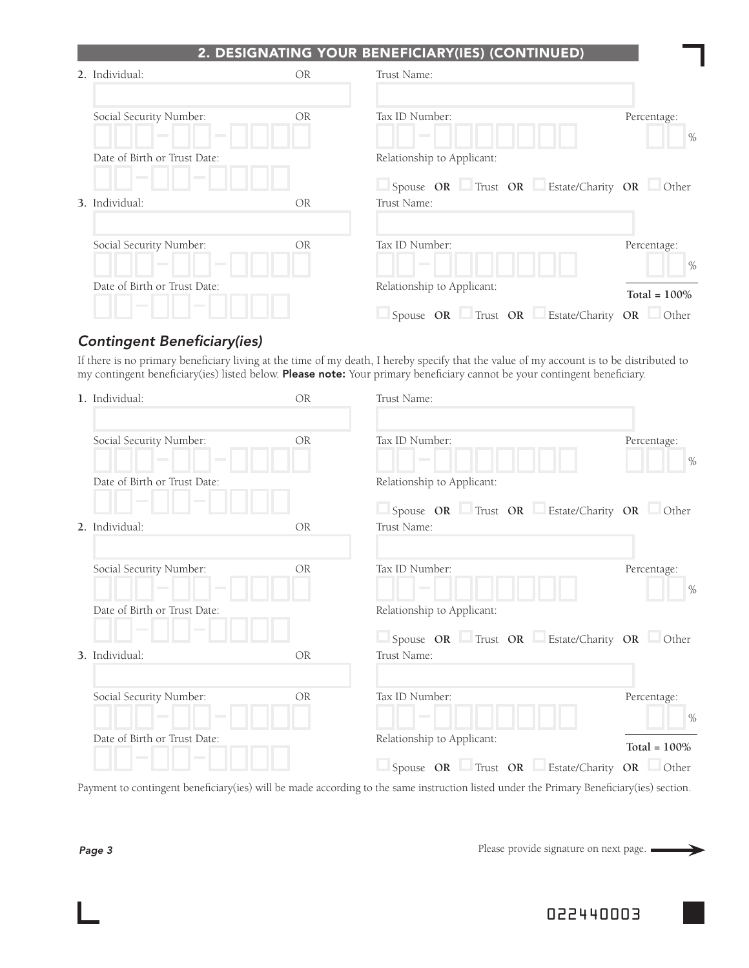## 2. DESIGNATING YOUR BENEFICIARY(IES) (CONTINUED)

| 2. Individual:                                                         | <b>OR</b> | Trust Name:                                               |                     |
|------------------------------------------------------------------------|-----------|-----------------------------------------------------------|---------------------|
| Social Security Number:<br><b>Contract</b><br><b>Contract Contract</b> | OR        | Tax ID Number:<br><b>Contract</b>                         | Percentage:<br>$\%$ |
| Date of Birth or Trust Date:                                           |           | Relationship to Applicant:                                |                     |
| <b>Contract</b><br><b>Contract</b><br>3. Individual:                   | OR.       | Spouse OR Trust OR Estate/Charity OR Other<br>Trust Name: |                     |
| Social Security Number:<br><b>Contract</b><br><b>Contract</b>          | <b>OR</b> | Tax ID Number:<br><b>Contract</b>                         | Percentage:<br>$\%$ |
| Date of Birth or Trust Date:                                           |           | Relationship to Applicant:                                | Total = $100\%$     |
| <b>Contract</b><br><b>Contract</b>                                     |           | Spouse OR Trust OR Estate/Charity OR Other                |                     |

## **Contingent Beneficiary(ies)**

If there is no primary beneficiary living at the time of my death, I hereby specify that the value of my account is to be distributed to my contingent beneficiary(ies) listed below. Please note: Your primary beneficiary cannot be your contingent beneficiary.

| 1. Individual:                                                       | OR             | Trust Name:                                               |                     |
|----------------------------------------------------------------------|----------------|-----------------------------------------------------------|---------------------|
| Social Security Number:<br><b>Contract</b><br><b>Contract</b>        | OR             | Tax ID Number:<br><b>Contract</b>                         | Percentage:<br>$\%$ |
| Date of Birth or Trust Date:<br><b>Contract</b>                      |                | Relationship to Applicant:                                |                     |
| 2. Individual:                                                       | <b>OR</b>      | Spouse OR Trust OR Estate/Charity OR Other<br>Trust Name: |                     |
| Social Security Number:<br>$\sim$<br><b>College</b>                  | <b>OR</b>      | Tax ID Number:<br><b>Contract</b>                         | Percentage:<br>$\%$ |
| Date of Birth or Trust Date:                                         |                | Relationship to Applicant:                                |                     |
| <b>Contract</b><br><b>Contract</b><br>3. Individual:                 | O <sub>R</sub> | Spouse OR Trust OR Estate/Charity OR Other<br>Trust Name: |                     |
| Social Security Number:<br><b>College College</b><br><b>Contract</b> | <b>OR</b>      | Tax ID Number:<br><b>Contract</b>                         | Percentage:<br>$\%$ |
| Date of Birth or Trust Date:                                         |                | Relationship to Applicant:                                | Total = $100\%$     |
| <b>Contract</b>                                                      |                | Spouse OR Trust OR Estate/Charity OR Other                |                     |

Payment to contingent beneficiary(ies) will be made according to the same instruction listed under the Primary Beneficiary(ies) section.

Please provide signature on next page.